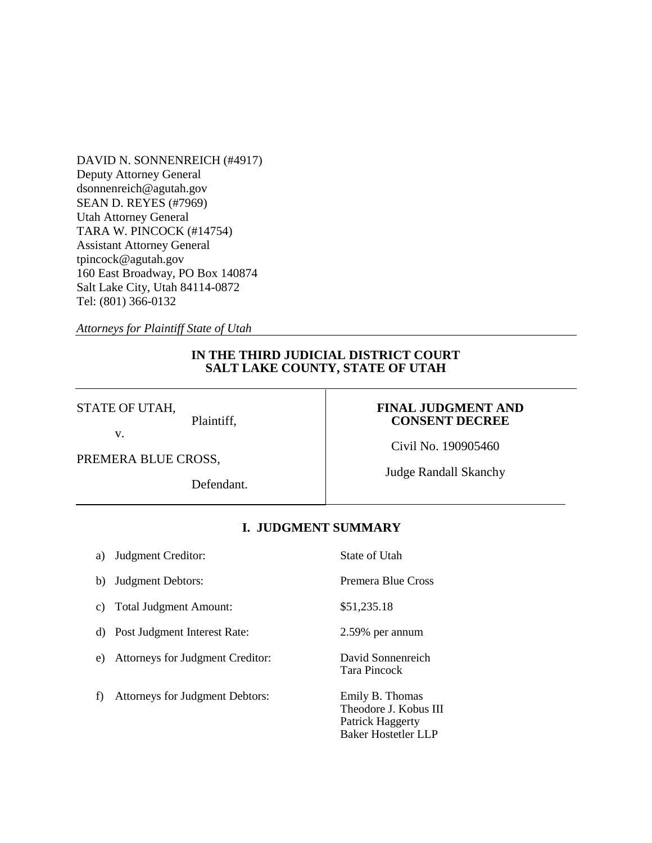DAVID N. SONNENREICH (#4917) Deputy Attorney General dsonnenreich@agutah.gov SEAN D. REYES (#7969) Utah Attorney General TARA W. PINCOCK (#14754) Assistant Attorney General tpincock@agutah.gov 160 East Broadway, PO Box 140874 Salt Lake City, Utah 84114-0872 Tel: (801) 366-0132

*Attorneys for Plaintiff State of Utah*

# **IN THE THIRD JUDICIAL DISTRICT COURT SALT LAKE COUNTY, STATE OF UTAH**

## STATE OF UTAH,

v.

# **FINAL JUDGMENT AND CONSENT DECREE**

Civil No. 190905460

PREMERA BLUE CROSS,

Defendant.

Plaintiff,

Judge Randall Skanchy

# **I. JUDGMENT SUMMARY**

| a) | Judgment Creditor:               | State of Utah                                                                              |
|----|----------------------------------|--------------------------------------------------------------------------------------------|
| b) | Judgment Debtors:                | Premera Blue Cross                                                                         |
| c) | <b>Total Judgment Amount:</b>    | \$51,235.18                                                                                |
| d) | Post Judgment Interest Rate:     | 2.59% per annum                                                                            |
| e) | Attorneys for Judgment Creditor: | David Sonnenreich<br>Tara Pincock                                                          |
| f) | Attorneys for Judgment Debtors:  | Emily B. Thomas<br>Theodore J. Kobus III<br>Patrick Haggerty<br><b>Baker Hostetler LLP</b> |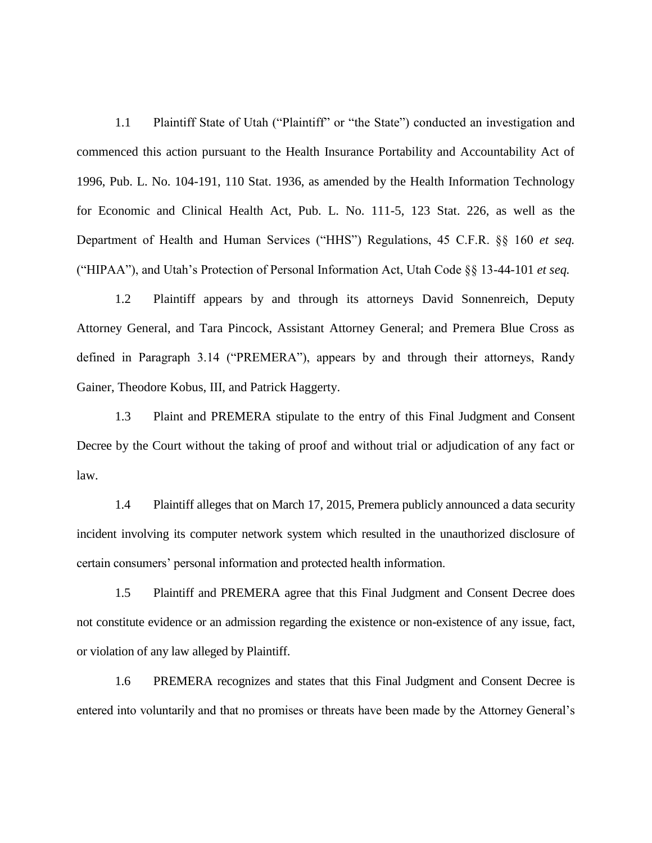1.1 Plaintiff State of Utah ("Plaintiff" or "the State") conducted an investigation and commenced this action pursuant to the Health Insurance Portability and Accountability Act of 1996, Pub. L. No. 104-191, 110 Stat. 1936, as amended by the Health Information Technology for Economic and Clinical Health Act, Pub. L. No. 111-5, 123 Stat. 226, as well as the Department of Health and Human Services ("HHS") Regulations, 45 C.F.R. §§ 160 *et seq.*  ("HIPAA"), and Utah's Protection of Personal Information Act, Utah Code §§ 13-44-101 *et seq.*

1.2 Plaintiff appears by and through its attorneys David Sonnenreich, Deputy Attorney General, and Tara Pincock, Assistant Attorney General; and Premera Blue Cross as defined in Paragraph 3.14 ("PREMERA"), appears by and through their attorneys, Randy Gainer, Theodore Kobus, III, and Patrick Haggerty.

1.3 Plaint and PREMERA stipulate to the entry of this Final Judgment and Consent Decree by the Court without the taking of proof and without trial or adjudication of any fact or law.

1.4 Plaintiff alleges that on March 17, 2015, Premera publicly announced a data security incident involving its computer network system which resulted in the unauthorized disclosure of certain consumers' personal information and protected health information.

1.5 Plaintiff and PREMERA agree that this Final Judgment and Consent Decree does not constitute evidence or an admission regarding the existence or non-existence of any issue, fact, or violation of any law alleged by Plaintiff.

1.6 PREMERA recognizes and states that this Final Judgment and Consent Decree is entered into voluntarily and that no promises or threats have been made by the Attorney General's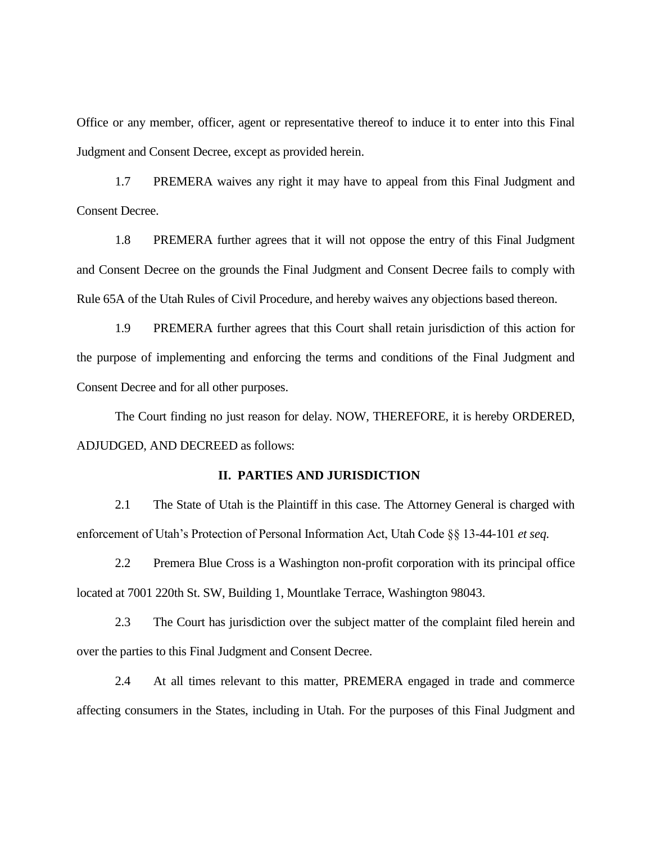Office or any member, officer, agent or representative thereof to induce it to enter into this Final Judgment and Consent Decree, except as provided herein.

1.7 PREMERA waives any right it may have to appeal from this Final Judgment and Consent Decree.

1.8 PREMERA further agrees that it will not oppose the entry of this Final Judgment and Consent Decree on the grounds the Final Judgment and Consent Decree fails to comply with Rule 65A of the Utah Rules of Civil Procedure, and hereby waives any objections based thereon.

1.9 PREMERA further agrees that this Court shall retain jurisdiction of this action for the purpose of implementing and enforcing the terms and conditions of the Final Judgment and Consent Decree and for all other purposes.

The Court finding no just reason for delay. NOW, THEREFORE, it is hereby ORDERED, ADJUDGED, AND DECREED as follows:

## **II. PARTIES AND JURISDICTION**

2.1 The State of Utah is the Plaintiff in this case. The Attorney General is charged with enforcement of Utah's Protection of Personal Information Act, Utah Code §§ 13-44-101 *et seq.* 

2.2 Premera Blue Cross is a Washington non-profit corporation with its principal office located at 7001 220th St. SW, Building 1, Mountlake Terrace, Washington 98043.

2.3 The Court has jurisdiction over the subject matter of the complaint filed herein and over the parties to this Final Judgment and Consent Decree.

2.4 At all times relevant to this matter, PREMERA engaged in trade and commerce affecting consumers in the States, including in Utah. For the purposes of this Final Judgment and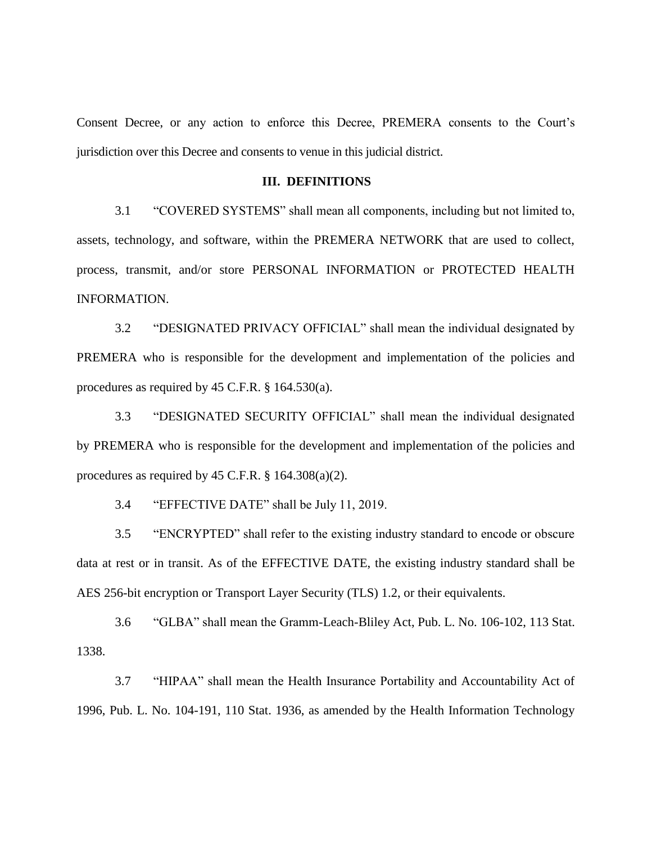Consent Decree, or any action to enforce this Decree, PREMERA consents to the Court's jurisdiction over this Decree and consents to venue in this judicial district.

## **III. DEFINITIONS**

3.1 "COVERED SYSTEMS" shall mean all components, including but not limited to, assets, technology, and software, within the PREMERA NETWORK that are used to collect, process, transmit, and/or store PERSONAL INFORMATION or PROTECTED HEALTH INFORMATION.

3.2 "DESIGNATED PRIVACY OFFICIAL" shall mean the individual designated by PREMERA who is responsible for the development and implementation of the policies and procedures as required by 45 C.F.R. § 164.530(a).

3.3 "DESIGNATED SECURITY OFFICIAL" shall mean the individual designated by PREMERA who is responsible for the development and implementation of the policies and procedures as required by 45 C.F.R.  $\S$  164.308(a)(2).

3.4 "EFFECTIVE DATE" shall be July 11, 2019.

3.5 "ENCRYPTED" shall refer to the existing industry standard to encode or obscure data at rest or in transit. As of the EFFECTIVE DATE, the existing industry standard shall be AES 256-bit encryption or Transport Layer Security (TLS) 1.2, or their equivalents.

3.6 "GLBA" shall mean the Gramm-Leach-Bliley Act, Pub. L. No. 106-102, 113 Stat. 1338.

3.7 "HIPAA" shall mean the Health Insurance Portability and Accountability Act of 1996, Pub. L. No. 104-191, 110 Stat. 1936, as amended by the Health Information Technology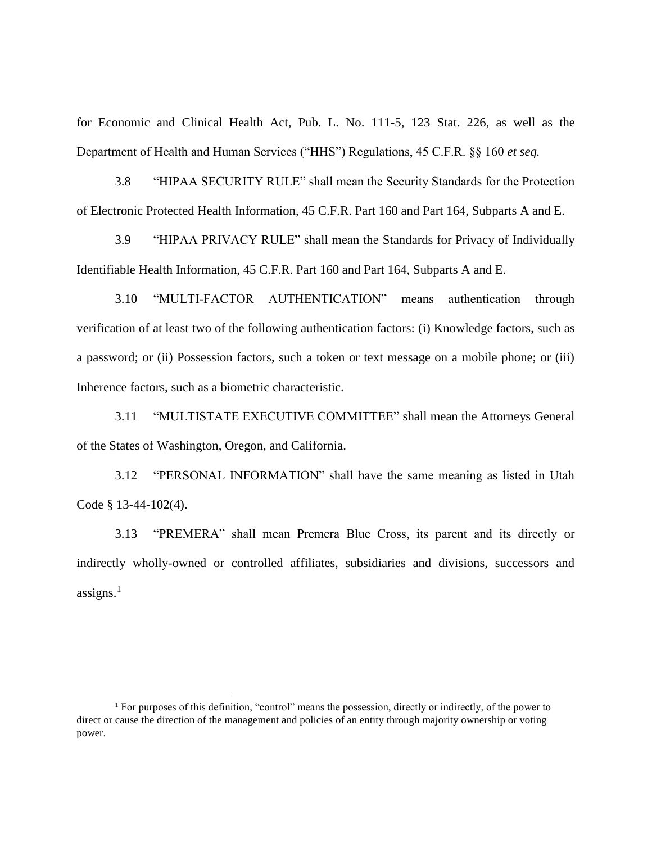for Economic and Clinical Health Act, Pub. L. No. 111-5, 123 Stat. 226, as well as the Department of Health and Human Services ("HHS") Regulations, 45 C.F.R. §§ 160 *et seq.*

3.8 "HIPAA SECURITY RULE" shall mean the Security Standards for the Protection of Electronic Protected Health Information, 45 C.F.R. Part 160 and Part 164, Subparts A and E.

3.9 "HIPAA PRIVACY RULE" shall mean the Standards for Privacy of Individually Identifiable Health Information, 45 C.F.R. Part 160 and Part 164, Subparts A and E.

3.10 "MULTI-FACTOR AUTHENTICATION" means authentication through verification of at least two of the following authentication factors: (i) Knowledge factors, such as a password; or (ii) Possession factors, such a token or text message on a mobile phone; or (iii) Inherence factors, such as a biometric characteristic.

3.11 "MULTISTATE EXECUTIVE COMMITTEE" shall mean the Attorneys General of the States of Washington, Oregon, and California.

3.12 "PERSONAL INFORMATION" shall have the same meaning as listed in Utah Code § 13-44-102(4).

3.13 "PREMERA" shall mean Premera Blue Cross, its parent and its directly or indirectly wholly-owned or controlled affiliates, subsidiaries and divisions, successors and assigns. $<sup>1</sup>$ </sup>

 $\overline{a}$ 

<sup>1</sup> For purposes of this definition, "control" means the possession, directly or indirectly, of the power to direct or cause the direction of the management and policies of an entity through majority ownership or voting power.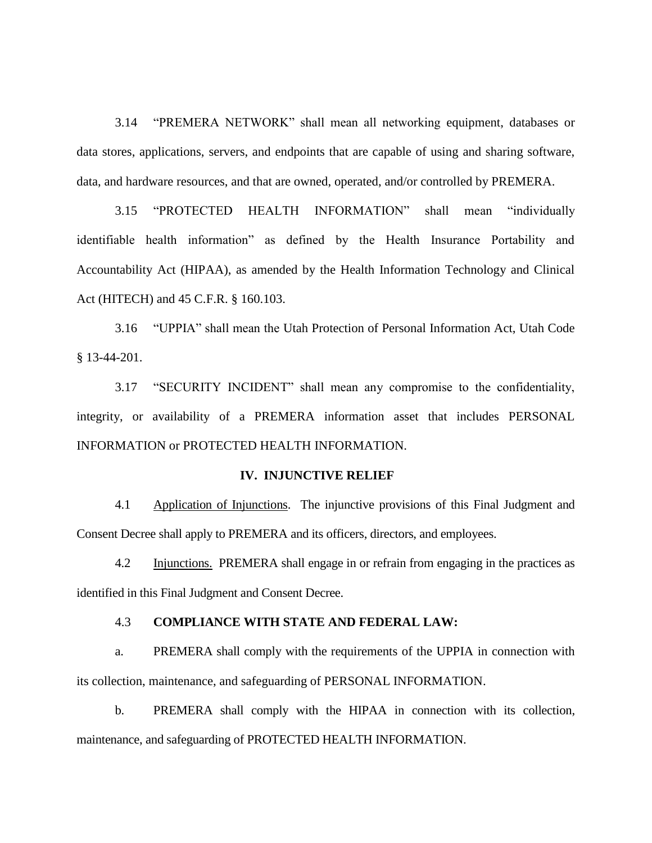3.14 "PREMERA NETWORK" shall mean all networking equipment, databases or data stores, applications, servers, and endpoints that are capable of using and sharing software, data, and hardware resources, and that are owned, operated, and/or controlled by PREMERA.

3.15 "PROTECTED HEALTH INFORMATION" shall mean "individually identifiable health information" as defined by the Health Insurance Portability and Accountability Act (HIPAA), as amended by the Health Information Technology and Clinical Act (HITECH) and 45 C.F.R. § 160.103.

3.16 "UPPIA" shall mean the Utah Protection of Personal Information Act, Utah Code § 13-44-201.

3.17 "SECURITY INCIDENT" shall mean any compromise to the confidentiality, integrity, or availability of a PREMERA information asset that includes PERSONAL INFORMATION or PROTECTED HEALTH INFORMATION.

## **IV. INJUNCTIVE RELIEF**

4.1 Application of Injunctions. The injunctive provisions of this Final Judgment and Consent Decree shall apply to PREMERA and its officers, directors, and employees.

4.2 Injunctions. PREMERA shall engage in or refrain from engaging in the practices as identified in this Final Judgment and Consent Decree.

## 4.3 **COMPLIANCE WITH STATE AND FEDERAL LAW:**

a. PREMERA shall comply with the requirements of the UPPIA in connection with its collection, maintenance, and safeguarding of PERSONAL INFORMATION.

b. PREMERA shall comply with the HIPAA in connection with its collection, maintenance, and safeguarding of PROTECTED HEALTH INFORMATION.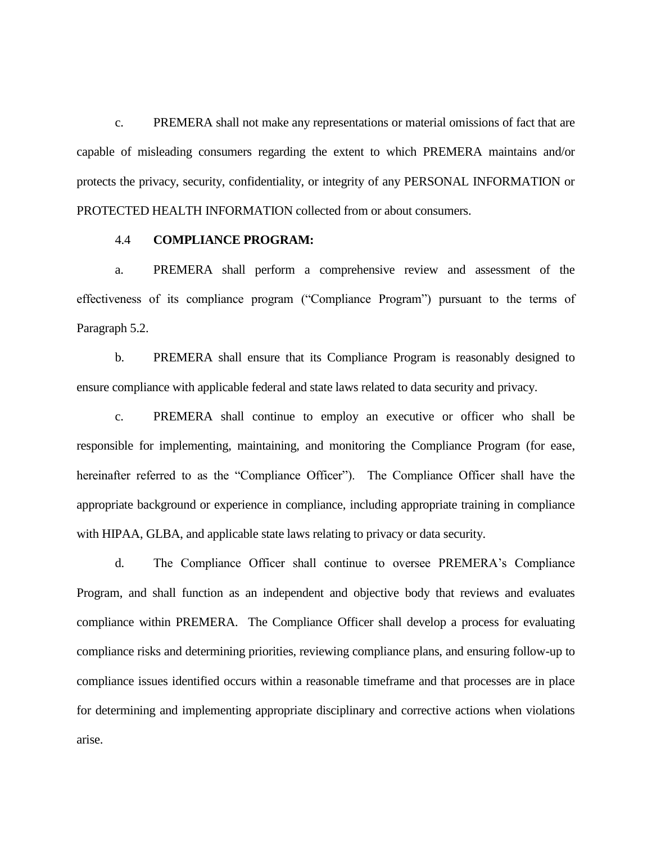c. PREMERA shall not make any representations or material omissions of fact that are capable of misleading consumers regarding the extent to which PREMERA maintains and/or protects the privacy, security, confidentiality, or integrity of any PERSONAL INFORMATION or PROTECTED HEALTH INFORMATION collected from or about consumers.

### 4.4 **COMPLIANCE PROGRAM:**

a. PREMERA shall perform a comprehensive review and assessment of the effectiveness of its compliance program ("Compliance Program") pursuant to the terms of Paragraph 5.2.

b. PREMERA shall ensure that its Compliance Program is reasonably designed to ensure compliance with applicable federal and state laws related to data security and privacy.

c. PREMERA shall continue to employ an executive or officer who shall be responsible for implementing, maintaining, and monitoring the Compliance Program (for ease, hereinafter referred to as the "Compliance Officer"). The Compliance Officer shall have the appropriate background or experience in compliance, including appropriate training in compliance with HIPAA, GLBA, and applicable state laws relating to privacy or data security.

d. The Compliance Officer shall continue to oversee PREMERA's Compliance Program, and shall function as an independent and objective body that reviews and evaluates compliance within PREMERA. The Compliance Officer shall develop a process for evaluating compliance risks and determining priorities, reviewing compliance plans, and ensuring follow-up to compliance issues identified occurs within a reasonable timeframe and that processes are in place for determining and implementing appropriate disciplinary and corrective actions when violations arise.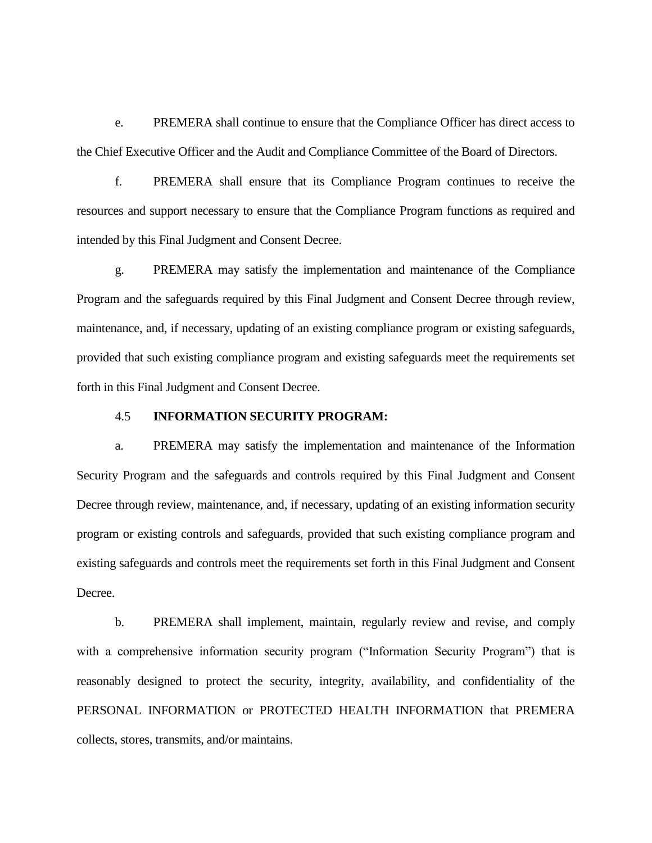e. PREMERA shall continue to ensure that the Compliance Officer has direct access to the Chief Executive Officer and the Audit and Compliance Committee of the Board of Directors.

f. PREMERA shall ensure that its Compliance Program continues to receive the resources and support necessary to ensure that the Compliance Program functions as required and intended by this Final Judgment and Consent Decree.

g. PREMERA may satisfy the implementation and maintenance of the Compliance Program and the safeguards required by this Final Judgment and Consent Decree through review, maintenance, and, if necessary, updating of an existing compliance program or existing safeguards, provided that such existing compliance program and existing safeguards meet the requirements set forth in this Final Judgment and Consent Decree.

## 4.5 **INFORMATION SECURITY PROGRAM:**

a. PREMERA may satisfy the implementation and maintenance of the Information Security Program and the safeguards and controls required by this Final Judgment and Consent Decree through review, maintenance, and, if necessary, updating of an existing information security program or existing controls and safeguards, provided that such existing compliance program and existing safeguards and controls meet the requirements set forth in this Final Judgment and Consent Decree.

b. PREMERA shall implement, maintain, regularly review and revise, and comply with a comprehensive information security program ("Information Security Program") that is reasonably designed to protect the security, integrity, availability, and confidentiality of the PERSONAL INFORMATION or PROTECTED HEALTH INFORMATION that PREMERA collects, stores, transmits, and/or maintains.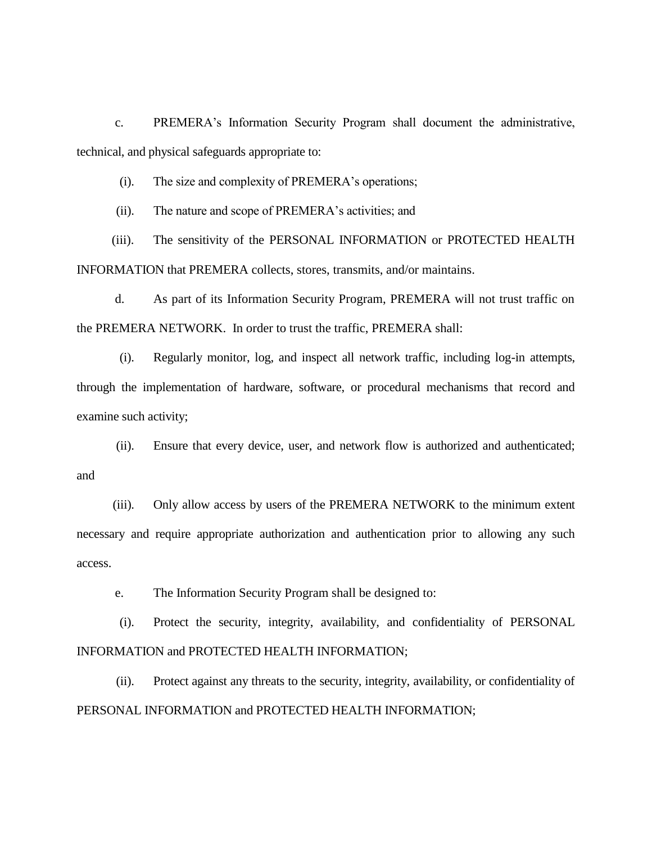c. PREMERA's Information Security Program shall document the administrative, technical, and physical safeguards appropriate to:

(i). The size and complexity of PREMERA's operations;

(ii). The nature and scope of PREMERA's activities; and

(iii). The sensitivity of the PERSONAL INFORMATION or PROTECTED HEALTH INFORMATION that PREMERA collects, stores, transmits, and/or maintains.

d. As part of its Information Security Program, PREMERA will not trust traffic on the PREMERA NETWORK. In order to trust the traffic, PREMERA shall:

(i). Regularly monitor, log, and inspect all network traffic, including log-in attempts, through the implementation of hardware, software, or procedural mechanisms that record and examine such activity;

(ii). Ensure that every device, user, and network flow is authorized and authenticated; and

(iii). Only allow access by users of the PREMERA NETWORK to the minimum extent necessary and require appropriate authorization and authentication prior to allowing any such access.

e. The Information Security Program shall be designed to:

(i). Protect the security, integrity, availability, and confidentiality of PERSONAL INFORMATION and PROTECTED HEALTH INFORMATION;

(ii). Protect against any threats to the security, integrity, availability, or confidentiality of PERSONAL INFORMATION and PROTECTED HEALTH INFORMATION;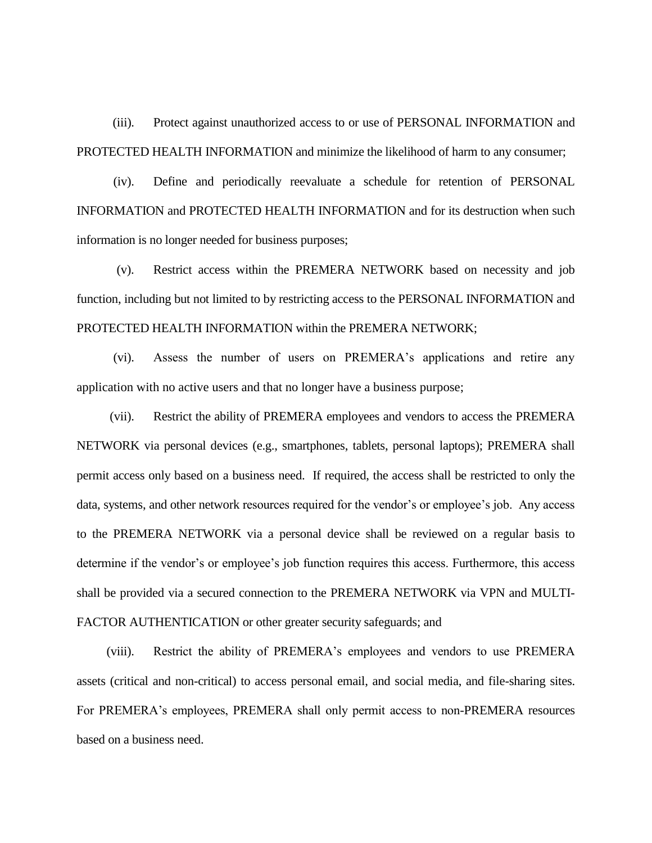(iii). Protect against unauthorized access to or use of PERSONAL INFORMATION and PROTECTED HEALTH INFORMATION and minimize the likelihood of harm to any consumer;

(iv). Define and periodically reevaluate a schedule for retention of PERSONAL INFORMATION and PROTECTED HEALTH INFORMATION and for its destruction when such information is no longer needed for business purposes;

(v). Restrict access within the PREMERA NETWORK based on necessity and job function, including but not limited to by restricting access to the PERSONAL INFORMATION and PROTECTED HEALTH INFORMATION within the PREMERA NETWORK;

(vi). Assess the number of users on PREMERA's applications and retire any application with no active users and that no longer have a business purpose;

(vii). Restrict the ability of PREMERA employees and vendors to access the PREMERA NETWORK via personal devices (e.g., smartphones, tablets, personal laptops); PREMERA shall permit access only based on a business need. If required, the access shall be restricted to only the data, systems, and other network resources required for the vendor's or employee's job. Any access to the PREMERA NETWORK via a personal device shall be reviewed on a regular basis to determine if the vendor's or employee's job function requires this access. Furthermore, this access shall be provided via a secured connection to the PREMERA NETWORK via VPN and MULTI-FACTOR AUTHENTICATION or other greater security safeguards; and

(viii). Restrict the ability of PREMERA's employees and vendors to use PREMERA assets (critical and non-critical) to access personal email, and social media, and file-sharing sites. For PREMERA's employees, PREMERA shall only permit access to non-PREMERA resources based on a business need.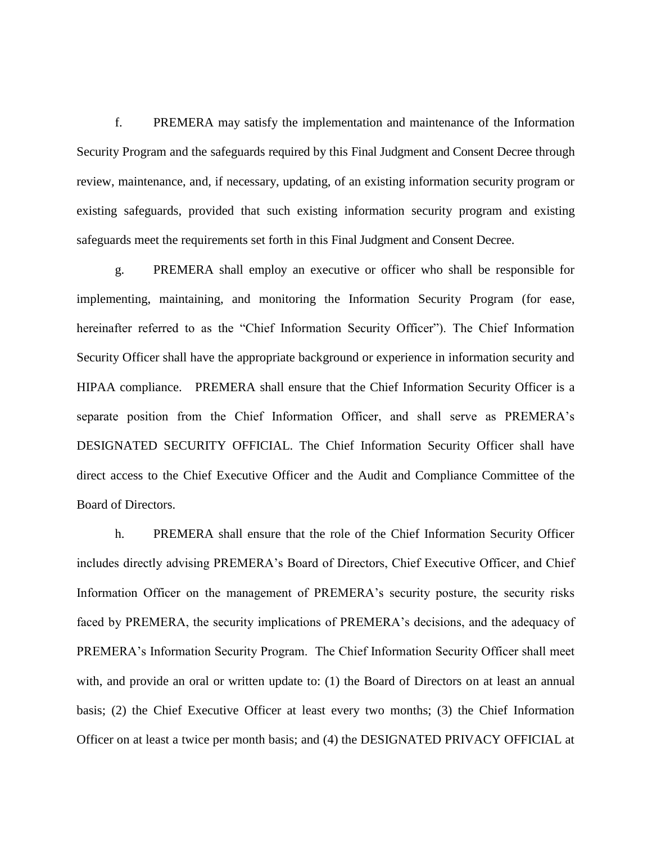f. PREMERA may satisfy the implementation and maintenance of the Information Security Program and the safeguards required by this Final Judgment and Consent Decree through review, maintenance, and, if necessary, updating, of an existing information security program or existing safeguards, provided that such existing information security program and existing safeguards meet the requirements set forth in this Final Judgment and Consent Decree.

g. PREMERA shall employ an executive or officer who shall be responsible for implementing, maintaining, and monitoring the Information Security Program (for ease, hereinafter referred to as the "Chief Information Security Officer"). The Chief Information Security Officer shall have the appropriate background or experience in information security and HIPAA compliance. PREMERA shall ensure that the Chief Information Security Officer is a separate position from the Chief Information Officer, and shall serve as PREMERA's DESIGNATED SECURITY OFFICIAL. The Chief Information Security Officer shall have direct access to the Chief Executive Officer and the Audit and Compliance Committee of the Board of Directors.

h. PREMERA shall ensure that the role of the Chief Information Security Officer includes directly advising PREMERA's Board of Directors, Chief Executive Officer, and Chief Information Officer on the management of PREMERA's security posture, the security risks faced by PREMERA, the security implications of PREMERA's decisions, and the adequacy of PREMERA's Information Security Program. The Chief Information Security Officer shall meet with, and provide an oral or written update to: (1) the Board of Directors on at least an annual basis; (2) the Chief Executive Officer at least every two months; (3) the Chief Information Officer on at least a twice per month basis; and (4) the DESIGNATED PRIVACY OFFICIAL at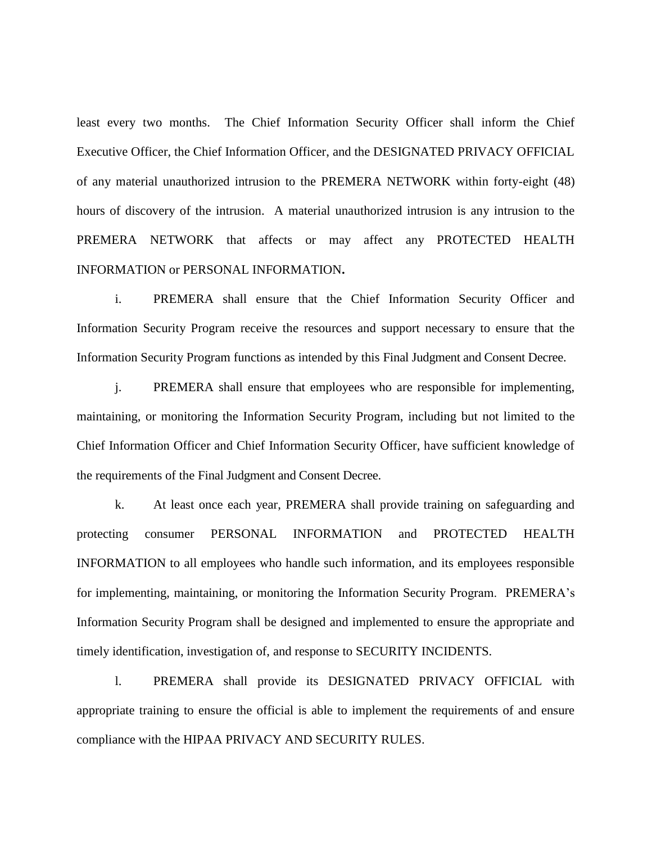least every two months. The Chief Information Security Officer shall inform the Chief Executive Officer, the Chief Information Officer, and the DESIGNATED PRIVACY OFFICIAL of any material unauthorized intrusion to the PREMERA NETWORK within forty-eight (48) hours of discovery of the intrusion. A material unauthorized intrusion is any intrusion to the PREMERA NETWORK that affects or may affect any PROTECTED HEALTH INFORMATION or PERSONAL INFORMATION**.**

i. PREMERA shall ensure that the Chief Information Security Officer and Information Security Program receive the resources and support necessary to ensure that the Information Security Program functions as intended by this Final Judgment and Consent Decree.

j. PREMERA shall ensure that employees who are responsible for implementing, maintaining, or monitoring the Information Security Program, including but not limited to the Chief Information Officer and Chief Information Security Officer, have sufficient knowledge of the requirements of the Final Judgment and Consent Decree.

k. At least once each year, PREMERA shall provide training on safeguarding and protecting consumer PERSONAL INFORMATION and PROTECTED HEALTH INFORMATION to all employees who handle such information, and its employees responsible for implementing, maintaining, or monitoring the Information Security Program. PREMERA's Information Security Program shall be designed and implemented to ensure the appropriate and timely identification, investigation of, and response to SECURITY INCIDENTS.

l. PREMERA shall provide its DESIGNATED PRIVACY OFFICIAL with appropriate training to ensure the official is able to implement the requirements of and ensure compliance with the HIPAA PRIVACY AND SECURITY RULES.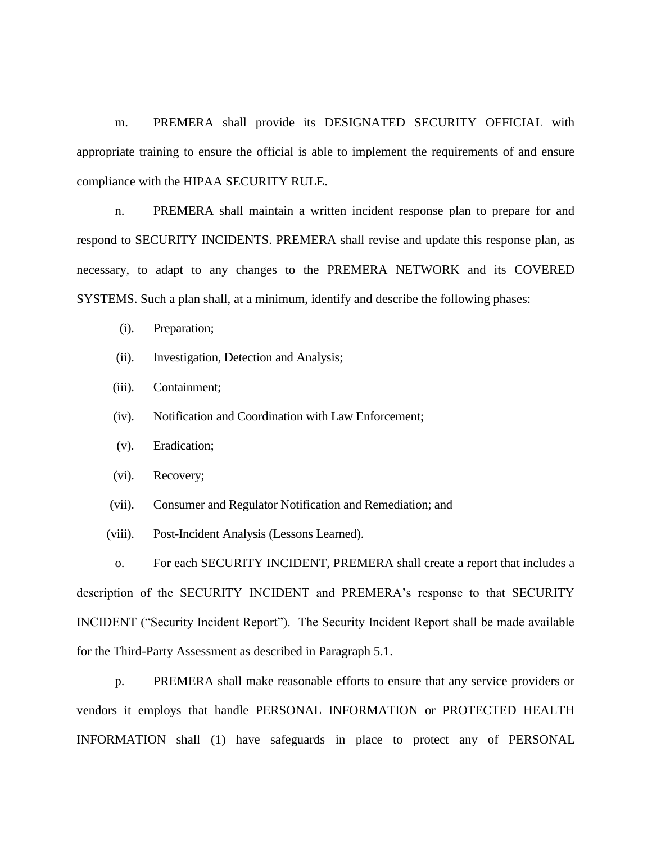m. PREMERA shall provide its DESIGNATED SECURITY OFFICIAL with appropriate training to ensure the official is able to implement the requirements of and ensure compliance with the HIPAA SECURITY RULE.

n. PREMERA shall maintain a written incident response plan to prepare for and respond to SECURITY INCIDENTS. PREMERA shall revise and update this response plan, as necessary, to adapt to any changes to the PREMERA NETWORK and its COVERED SYSTEMS. Such a plan shall, at a minimum, identify and describe the following phases:

- (i). Preparation;
- (ii). Investigation, Detection and Analysis;
- (iii). Containment;
- (iv). Notification and Coordination with Law Enforcement;
- (v). Eradication;
- (vi). Recovery;
- (vii). Consumer and Regulator Notification and Remediation; and
- (viii). Post-Incident Analysis (Lessons Learned).

o. For each SECURITY INCIDENT, PREMERA shall create a report that includes a description of the SECURITY INCIDENT and PREMERA's response to that SECURITY INCIDENT ("Security Incident Report"). The Security Incident Report shall be made available for the Third-Party Assessment as described in Paragraph 5.1.

p. PREMERA shall make reasonable efforts to ensure that any service providers or vendors it employs that handle PERSONAL INFORMATION or PROTECTED HEALTH INFORMATION shall (1) have safeguards in place to protect any of PERSONAL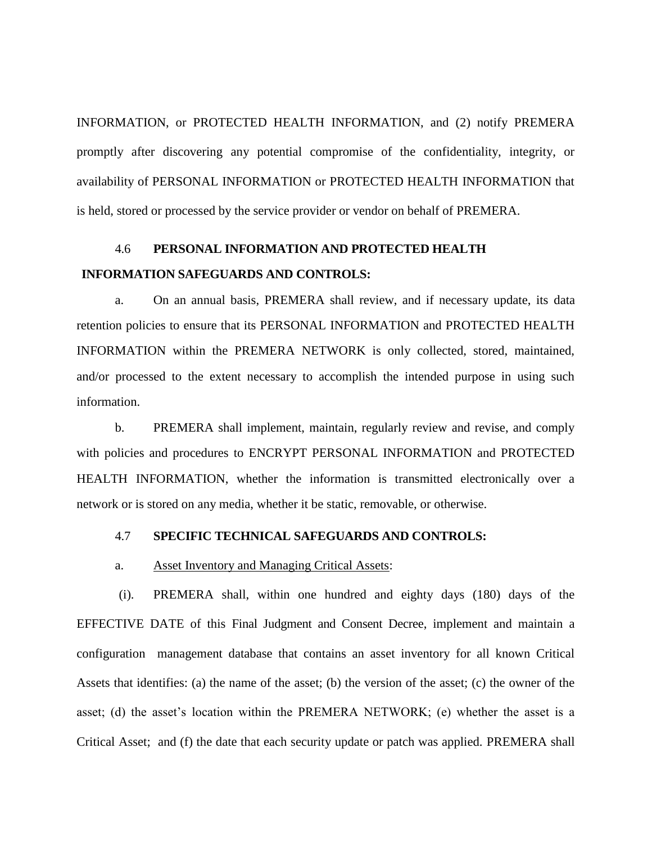INFORMATION, or PROTECTED HEALTH INFORMATION, and (2) notify PREMERA promptly after discovering any potential compromise of the confidentiality, integrity, or availability of PERSONAL INFORMATION or PROTECTED HEALTH INFORMATION that is held, stored or processed by the service provider or vendor on behalf of PREMERA.

# 4.6 **PERSONAL INFORMATION AND PROTECTED HEALTH INFORMATION SAFEGUARDS AND CONTROLS:**

a. On an annual basis, PREMERA shall review, and if necessary update, its data retention policies to ensure that its PERSONAL INFORMATION and PROTECTED HEALTH INFORMATION within the PREMERA NETWORK is only collected, stored, maintained, and/or processed to the extent necessary to accomplish the intended purpose in using such information.

b. PREMERA shall implement, maintain, regularly review and revise, and comply with policies and procedures to ENCRYPT PERSONAL INFORMATION and PROTECTED HEALTH INFORMATION, whether the information is transmitted electronically over a network or is stored on any media, whether it be static, removable, or otherwise.

# 4.7 **SPECIFIC TECHNICAL SAFEGUARDS AND CONTROLS:**

#### a. Asset Inventory and Managing Critical Assets:

(i). PREMERA shall, within one hundred and eighty days (180) days of the EFFECTIVE DATE of this Final Judgment and Consent Decree, implement and maintain a configuration management database that contains an asset inventory for all known Critical Assets that identifies: (a) the name of the asset; (b) the version of the asset; (c) the owner of the asset; (d) the asset's location within the PREMERA NETWORK; (e) whether the asset is a Critical Asset; and (f) the date that each security update or patch was applied. PREMERA shall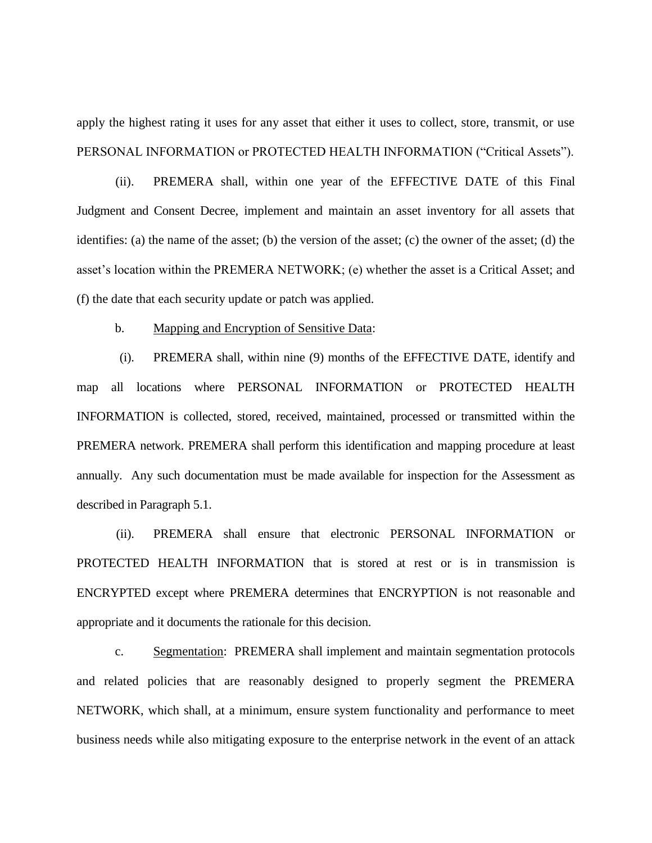apply the highest rating it uses for any asset that either it uses to collect, store, transmit, or use PERSONAL INFORMATION or PROTECTED HEALTH INFORMATION ("Critical Assets").

(ii). PREMERA shall, within one year of the EFFECTIVE DATE of this Final Judgment and Consent Decree, implement and maintain an asset inventory for all assets that identifies: (a) the name of the asset; (b) the version of the asset; (c) the owner of the asset; (d) the asset's location within the PREMERA NETWORK; (e) whether the asset is a Critical Asset; and (f) the date that each security update or patch was applied.

#### b. Mapping and Encryption of Sensitive Data:

(i). PREMERA shall, within nine (9) months of the EFFECTIVE DATE, identify and map all locations where PERSONAL INFORMATION or PROTECTED HEALTH INFORMATION is collected, stored, received, maintained, processed or transmitted within the PREMERA network. PREMERA shall perform this identification and mapping procedure at least annually. Any such documentation must be made available for inspection for the Assessment as described in Paragraph 5.1.

(ii). PREMERA shall ensure that electronic PERSONAL INFORMATION or PROTECTED HEALTH INFORMATION that is stored at rest or is in transmission is ENCRYPTED except where PREMERA determines that ENCRYPTION is not reasonable and appropriate and it documents the rationale for this decision.

c. Segmentation: PREMERA shall implement and maintain segmentation protocols and related policies that are reasonably designed to properly segment the PREMERA NETWORK, which shall, at a minimum, ensure system functionality and performance to meet business needs while also mitigating exposure to the enterprise network in the event of an attack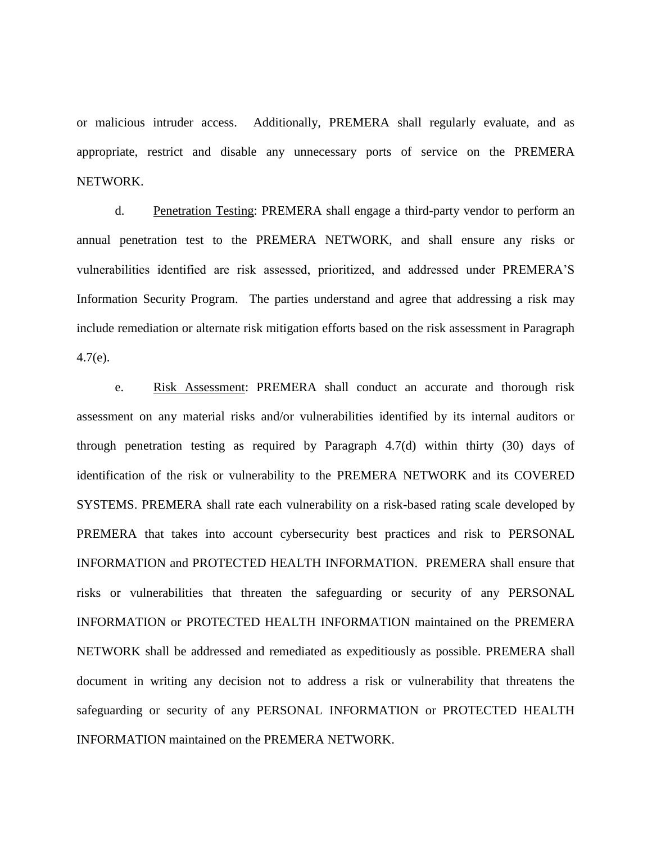or malicious intruder access. Additionally, PREMERA shall regularly evaluate, and as appropriate, restrict and disable any unnecessary ports of service on the PREMERA NETWORK.

d. Penetration Testing: PREMERA shall engage a third-party vendor to perform an annual penetration test to the PREMERA NETWORK, and shall ensure any risks or vulnerabilities identified are risk assessed, prioritized, and addressed under PREMERA'S Information Security Program. The parties understand and agree that addressing a risk may include remediation or alternate risk mitigation efforts based on the risk assessment in Paragraph 4.7(e).

e. Risk Assessment: PREMERA shall conduct an accurate and thorough risk assessment on any material risks and/or vulnerabilities identified by its internal auditors or through penetration testing as required by Paragraph 4.7(d) within thirty (30) days of identification of the risk or vulnerability to the PREMERA NETWORK and its COVERED SYSTEMS. PREMERA shall rate each vulnerability on a risk-based rating scale developed by PREMERA that takes into account cybersecurity best practices and risk to PERSONAL INFORMATION and PROTECTED HEALTH INFORMATION. PREMERA shall ensure that risks or vulnerabilities that threaten the safeguarding or security of any PERSONAL INFORMATION or PROTECTED HEALTH INFORMATION maintained on the PREMERA NETWORK shall be addressed and remediated as expeditiously as possible. PREMERA shall document in writing any decision not to address a risk or vulnerability that threatens the safeguarding or security of any PERSONAL INFORMATION or PROTECTED HEALTH INFORMATION maintained on the PREMERA NETWORK.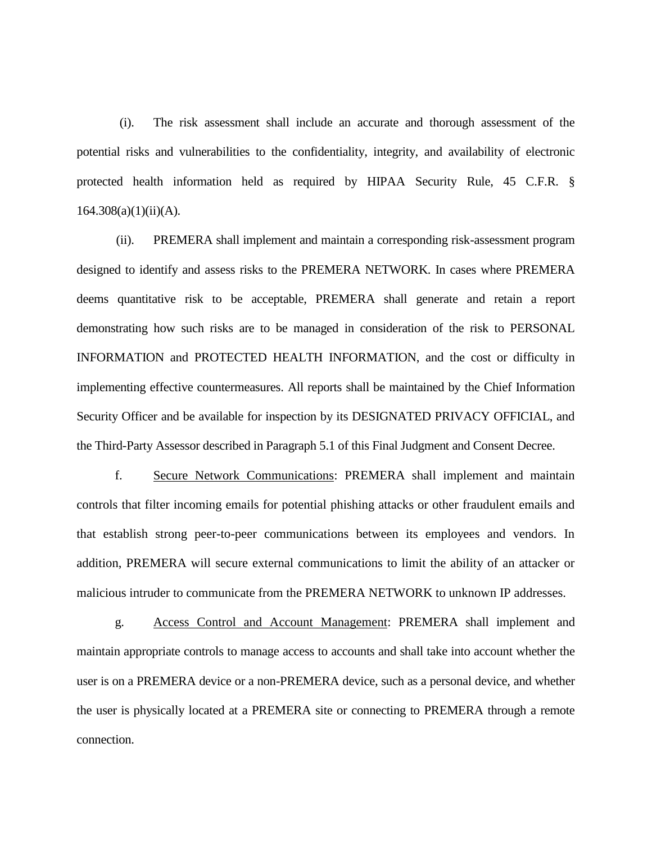(i). The risk assessment shall include an accurate and thorough assessment of the potential risks and vulnerabilities to the confidentiality, integrity, and availability of electronic protected health information held as required by HIPAA Security Rule, 45 C.F.R. §  $164.308(a)(1)(ii)(A)$ .

(ii). PREMERA shall implement and maintain a corresponding risk-assessment program designed to identify and assess risks to the PREMERA NETWORK. In cases where PREMERA deems quantitative risk to be acceptable, PREMERA shall generate and retain a report demonstrating how such risks are to be managed in consideration of the risk to PERSONAL INFORMATION and PROTECTED HEALTH INFORMATION, and the cost or difficulty in implementing effective countermeasures. All reports shall be maintained by the Chief Information Security Officer and be available for inspection by its DESIGNATED PRIVACY OFFICIAL, and the Third-Party Assessor described in Paragraph 5.1 of this Final Judgment and Consent Decree.

f. Secure Network Communications: PREMERA shall implement and maintain controls that filter incoming emails for potential phishing attacks or other fraudulent emails and that establish strong peer-to-peer communications between its employees and vendors. In addition, PREMERA will secure external communications to limit the ability of an attacker or malicious intruder to communicate from the PREMERA NETWORK to unknown IP addresses.

g. Access Control and Account Management: PREMERA shall implement and maintain appropriate controls to manage access to accounts and shall take into account whether the user is on a PREMERA device or a non-PREMERA device, such as a personal device, and whether the user is physically located at a PREMERA site or connecting to PREMERA through a remote connection.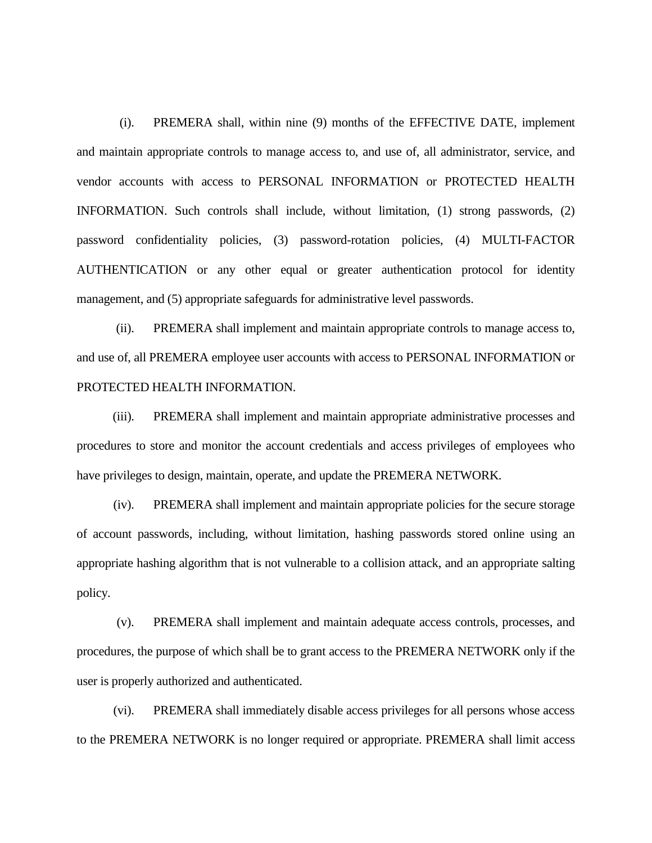(i). PREMERA shall, within nine (9) months of the EFFECTIVE DATE, implement and maintain appropriate controls to manage access to, and use of, all administrator, service, and vendor accounts with access to PERSONAL INFORMATION or PROTECTED HEALTH INFORMATION. Such controls shall include, without limitation, (1) strong passwords, (2) password confidentiality policies, (3) password-rotation policies, (4) MULTI-FACTOR AUTHENTICATION or any other equal or greater authentication protocol for identity management, and (5) appropriate safeguards for administrative level passwords.

(ii). PREMERA shall implement and maintain appropriate controls to manage access to, and use of, all PREMERA employee user accounts with access to PERSONAL INFORMATION or PROTECTED HEALTH INFORMATION.

(iii). PREMERA shall implement and maintain appropriate administrative processes and procedures to store and monitor the account credentials and access privileges of employees who have privileges to design, maintain, operate, and update the PREMERA NETWORK.

(iv). PREMERA shall implement and maintain appropriate policies for the secure storage of account passwords, including, without limitation, hashing passwords stored online using an appropriate hashing algorithm that is not vulnerable to a collision attack, and an appropriate salting policy.

(v). PREMERA shall implement and maintain adequate access controls, processes, and procedures, the purpose of which shall be to grant access to the PREMERA NETWORK only if the user is properly authorized and authenticated.

(vi). PREMERA shall immediately disable access privileges for all persons whose access to the PREMERA NETWORK is no longer required or appropriate. PREMERA shall limit access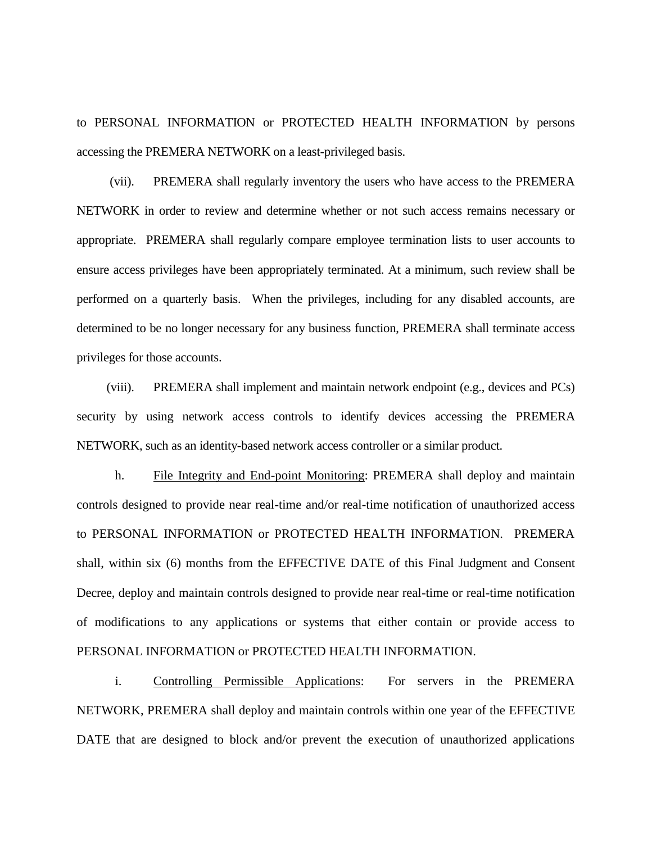to PERSONAL INFORMATION or PROTECTED HEALTH INFORMATION by persons accessing the PREMERA NETWORK on a least-privileged basis.

(vii). PREMERA shall regularly inventory the users who have access to the PREMERA NETWORK in order to review and determine whether or not such access remains necessary or appropriate. PREMERA shall regularly compare employee termination lists to user accounts to ensure access privileges have been appropriately terminated. At a minimum, such review shall be performed on a quarterly basis. When the privileges, including for any disabled accounts, are determined to be no longer necessary for any business function, PREMERA shall terminate access privileges for those accounts.

(viii). PREMERA shall implement and maintain network endpoint (e.g., devices and PCs) security by using network access controls to identify devices accessing the PREMERA NETWORK, such as an identity-based network access controller or a similar product.

h. File Integrity and End-point Monitoring: PREMERA shall deploy and maintain controls designed to provide near real-time and/or real-time notification of unauthorized access to PERSONAL INFORMATION or PROTECTED HEALTH INFORMATION. PREMERA shall, within six (6) months from the EFFECTIVE DATE of this Final Judgment and Consent Decree, deploy and maintain controls designed to provide near real-time or real-time notification of modifications to any applications or systems that either contain or provide access to PERSONAL INFORMATION or PROTECTED HEALTH INFORMATION.

i. Controlling Permissible Applications: For servers in the PREMERA NETWORK, PREMERA shall deploy and maintain controls within one year of the EFFECTIVE DATE that are designed to block and/or prevent the execution of unauthorized applications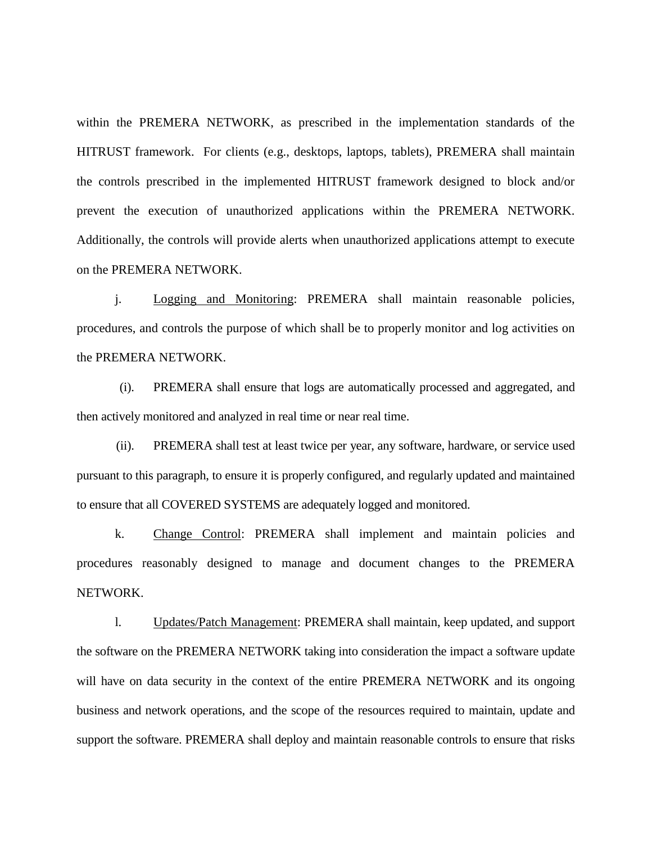within the PREMERA NETWORK, as prescribed in the implementation standards of the HITRUST framework. For clients (e.g., desktops, laptops, tablets), PREMERA shall maintain the controls prescribed in the implemented HITRUST framework designed to block and/or prevent the execution of unauthorized applications within the PREMERA NETWORK. Additionally, the controls will provide alerts when unauthorized applications attempt to execute on the PREMERA NETWORK.

j. Logging and Monitoring: PREMERA shall maintain reasonable policies, procedures, and controls the purpose of which shall be to properly monitor and log activities on the PREMERA NETWORK.

(i). PREMERA shall ensure that logs are automatically processed and aggregated, and then actively monitored and analyzed in real time or near real time.

(ii). PREMERA shall test at least twice per year, any software, hardware, or service used pursuant to this paragraph, to ensure it is properly configured, and regularly updated and maintained to ensure that all COVERED SYSTEMS are adequately logged and monitored.

k. Change Control: PREMERA shall implement and maintain policies and procedures reasonably designed to manage and document changes to the PREMERA NETWORK.

l. Updates/Patch Management: PREMERA shall maintain, keep updated, and support the software on the PREMERA NETWORK taking into consideration the impact a software update will have on data security in the context of the entire PREMERA NETWORK and its ongoing business and network operations, and the scope of the resources required to maintain, update and support the software. PREMERA shall deploy and maintain reasonable controls to ensure that risks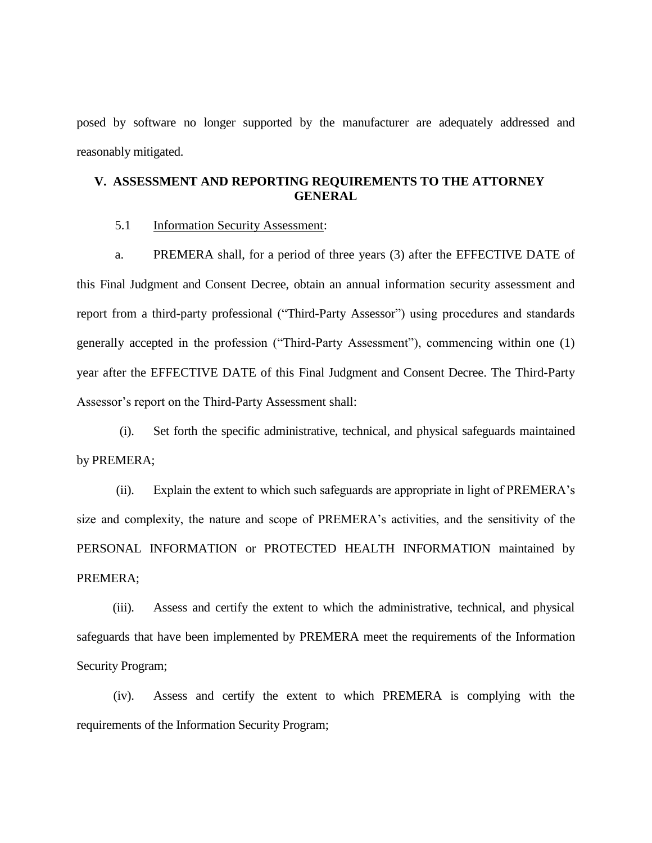posed by software no longer supported by the manufacturer are adequately addressed and reasonably mitigated.

# **V. ASSESSMENT AND REPORTING REQUIREMENTS TO THE ATTORNEY GENERAL**

#### 5.1 Information Security Assessment:

a. PREMERA shall, for a period of three years (3) after the EFFECTIVE DATE of this Final Judgment and Consent Decree, obtain an annual information security assessment and report from a third-party professional ("Third-Party Assessor") using procedures and standards generally accepted in the profession ("Third-Party Assessment"), commencing within one (1) year after the EFFECTIVE DATE of this Final Judgment and Consent Decree. The Third-Party Assessor's report on the Third-Party Assessment shall:

(i). Set forth the specific administrative, technical, and physical safeguards maintained by PREMERA;

(ii). Explain the extent to which such safeguards are appropriate in light of PREMERA's size and complexity, the nature and scope of PREMERA's activities, and the sensitivity of the PERSONAL INFORMATION or PROTECTED HEALTH INFORMATION maintained by PREMERA;

(iii). Assess and certify the extent to which the administrative, technical, and physical safeguards that have been implemented by PREMERA meet the requirements of the Information Security Program;

(iv). Assess and certify the extent to which PREMERA is complying with the requirements of the Information Security Program;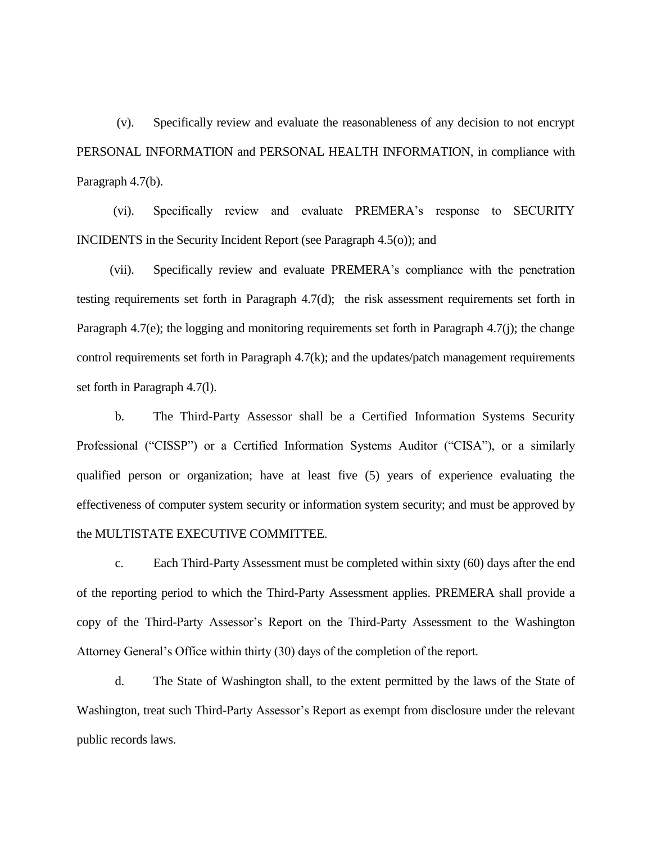(v). Specifically review and evaluate the reasonableness of any decision to not encrypt PERSONAL INFORMATION and PERSONAL HEALTH INFORMATION, in compliance with Paragraph 4.7(b).

(vi). Specifically review and evaluate PREMERA's response to SECURITY INCIDENTS in the Security Incident Report (see Paragraph 4.5(o)); and

(vii). Specifically review and evaluate PREMERA's compliance with the penetration testing requirements set forth in Paragraph 4.7(d); the risk assessment requirements set forth in Paragraph 4.7(e); the logging and monitoring requirements set forth in Paragraph 4.7(j); the change control requirements set forth in Paragraph 4.7(k); and the updates/patch management requirements set forth in Paragraph 4.7(l).

b. The Third-Party Assessor shall be a Certified Information Systems Security Professional ("CISSP") or a Certified Information Systems Auditor ("CISA"), or a similarly qualified person or organization; have at least five (5) years of experience evaluating the effectiveness of computer system security or information system security; and must be approved by the MULTISTATE EXECUTIVE COMMITTEE.

c. Each Third-Party Assessment must be completed within sixty (60) days after the end of the reporting period to which the Third-Party Assessment applies. PREMERA shall provide a copy of the Third-Party Assessor's Report on the Third-Party Assessment to the Washington Attorney General's Office within thirty (30) days of the completion of the report.

d. The State of Washington shall, to the extent permitted by the laws of the State of Washington, treat such Third-Party Assessor's Report as exempt from disclosure under the relevant public records laws.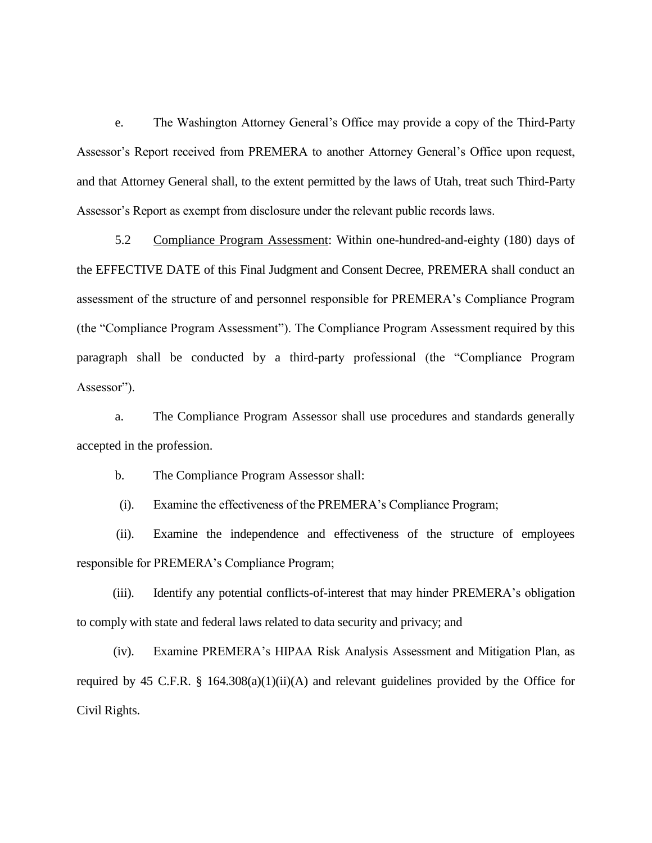e. The Washington Attorney General's Office may provide a copy of the Third-Party Assessor's Report received from PREMERA to another Attorney General's Office upon request, and that Attorney General shall, to the extent permitted by the laws of Utah, treat such Third-Party Assessor's Report as exempt from disclosure under the relevant public records laws.

5.2 Compliance Program Assessment: Within one-hundred-and-eighty (180) days of the EFFECTIVE DATE of this Final Judgment and Consent Decree, PREMERA shall conduct an assessment of the structure of and personnel responsible for PREMERA's Compliance Program (the "Compliance Program Assessment"). The Compliance Program Assessment required by this paragraph shall be conducted by a third-party professional (the "Compliance Program Assessor").

a. The Compliance Program Assessor shall use procedures and standards generally accepted in the profession.

b. The Compliance Program Assessor shall:

(i). Examine the effectiveness of the PREMERA's Compliance Program;

(ii). Examine the independence and effectiveness of the structure of employees responsible for PREMERA's Compliance Program;

(iii). Identify any potential conflicts-of-interest that may hinder PREMERA's obligation to comply with state and federal laws related to data security and privacy; and

(iv). Examine PREMERA's HIPAA Risk Analysis Assessment and Mitigation Plan, as required by 45 C.F.R. § 164.308(a)(1)(ii)(A) and relevant guidelines provided by the Office for Civil Rights.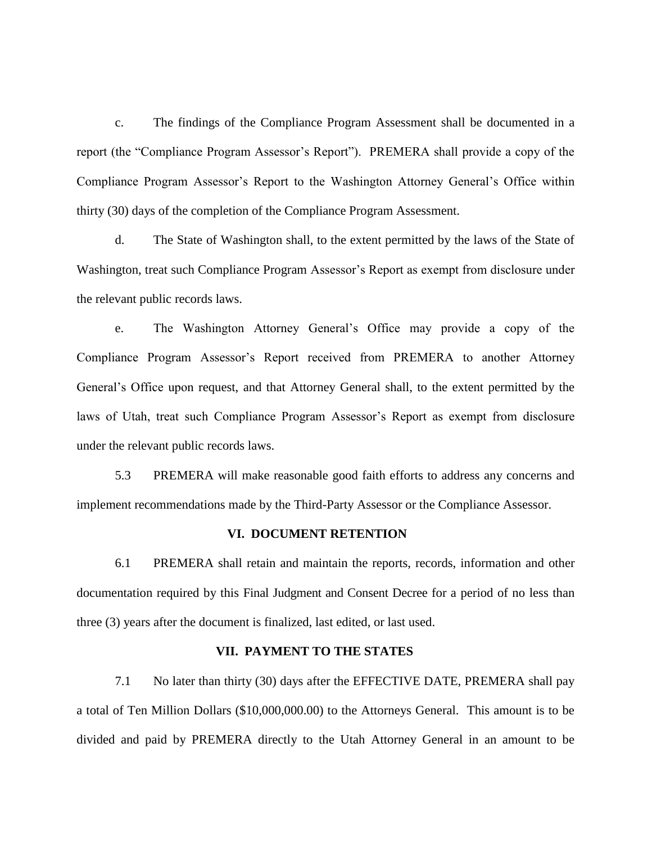c. The findings of the Compliance Program Assessment shall be documented in a report (the "Compliance Program Assessor's Report"). PREMERA shall provide a copy of the Compliance Program Assessor's Report to the Washington Attorney General's Office within thirty (30) days of the completion of the Compliance Program Assessment.

d. The State of Washington shall, to the extent permitted by the laws of the State of Washington, treat such Compliance Program Assessor's Report as exempt from disclosure under the relevant public records laws.

e. The Washington Attorney General's Office may provide a copy of the Compliance Program Assessor's Report received from PREMERA to another Attorney General's Office upon request, and that Attorney General shall, to the extent permitted by the laws of Utah, treat such Compliance Program Assessor's Report as exempt from disclosure under the relevant public records laws.

5.3 PREMERA will make reasonable good faith efforts to address any concerns and implement recommendations made by the Third-Party Assessor or the Compliance Assessor.

## **VI. DOCUMENT RETENTION**

6.1 PREMERA shall retain and maintain the reports, records, information and other documentation required by this Final Judgment and Consent Decree for a period of no less than three (3) years after the document is finalized, last edited, or last used.

# **VII. PAYMENT TO THE STATES**

7.1 No later than thirty (30) days after the EFFECTIVE DATE, PREMERA shall pay a total of Ten Million Dollars (\$10,000,000.00) to the Attorneys General. This amount is to be divided and paid by PREMERA directly to the Utah Attorney General in an amount to be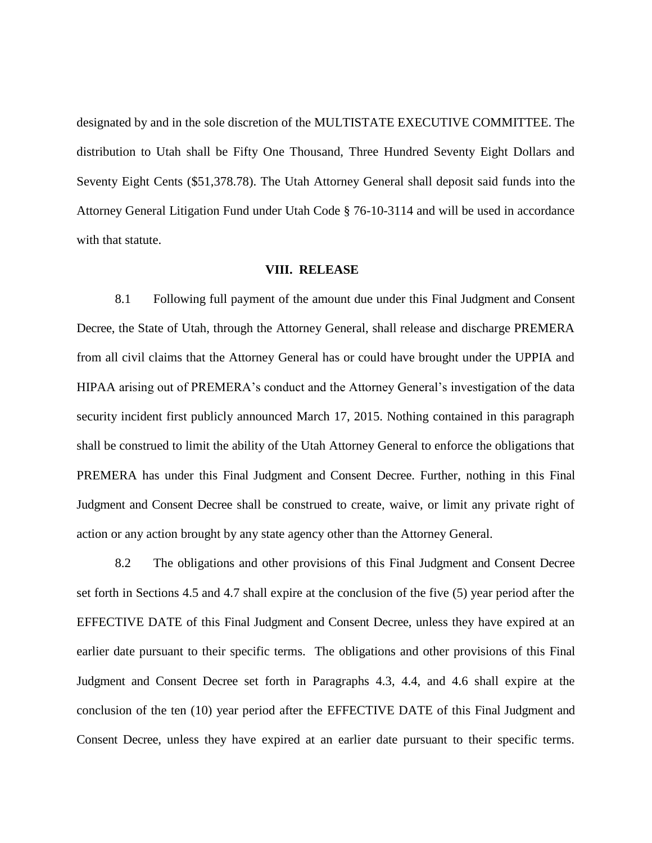designated by and in the sole discretion of the MULTISTATE EXECUTIVE COMMITTEE. The distribution to Utah shall be Fifty One Thousand, Three Hundred Seventy Eight Dollars and Seventy Eight Cents (\$51,378.78). The Utah Attorney General shall deposit said funds into the Attorney General Litigation Fund under Utah Code § 76-10-3114 and will be used in accordance with that statute.

#### **VIII. RELEASE**

8.1 Following full payment of the amount due under this Final Judgment and Consent Decree, the State of Utah, through the Attorney General, shall release and discharge PREMERA from all civil claims that the Attorney General has or could have brought under the UPPIA and HIPAA arising out of PREMERA's conduct and the Attorney General's investigation of the data security incident first publicly announced March 17, 2015. Nothing contained in this paragraph shall be construed to limit the ability of the Utah Attorney General to enforce the obligations that PREMERA has under this Final Judgment and Consent Decree. Further, nothing in this Final Judgment and Consent Decree shall be construed to create, waive, or limit any private right of action or any action brought by any state agency other than the Attorney General.

8.2 The obligations and other provisions of this Final Judgment and Consent Decree set forth in Sections 4.5 and 4.7 shall expire at the conclusion of the five (5) year period after the EFFECTIVE DATE of this Final Judgment and Consent Decree, unless they have expired at an earlier date pursuant to their specific terms. The obligations and other provisions of this Final Judgment and Consent Decree set forth in Paragraphs 4.3, 4.4, and 4.6 shall expire at the conclusion of the ten (10) year period after the EFFECTIVE DATE of this Final Judgment and Consent Decree, unless they have expired at an earlier date pursuant to their specific terms.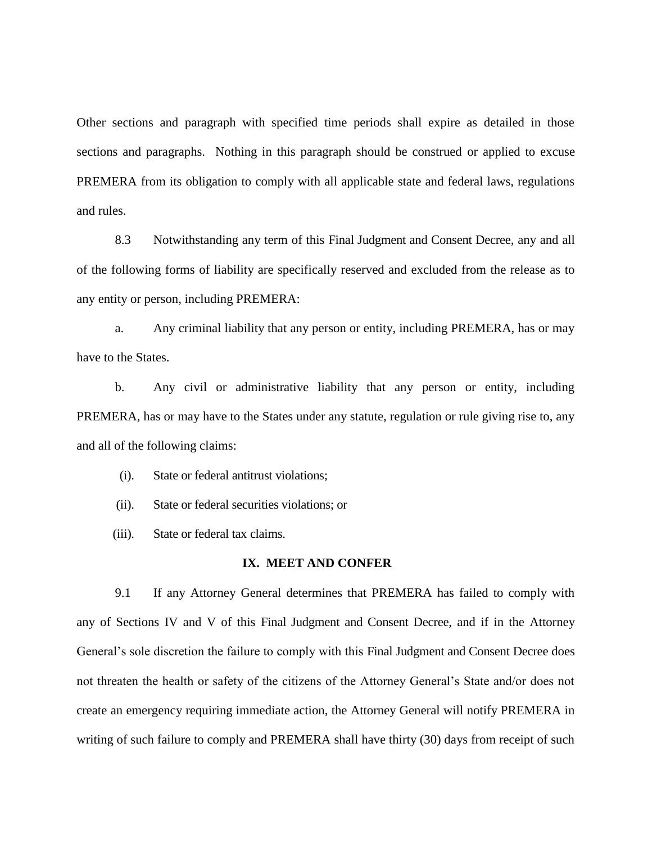Other sections and paragraph with specified time periods shall expire as detailed in those sections and paragraphs. Nothing in this paragraph should be construed or applied to excuse PREMERA from its obligation to comply with all applicable state and federal laws, regulations and rules.

8.3 Notwithstanding any term of this Final Judgment and Consent Decree, any and all of the following forms of liability are specifically reserved and excluded from the release as to any entity or person, including PREMERA:

a. Any criminal liability that any person or entity, including PREMERA, has or may have to the States.

b. Any civil or administrative liability that any person or entity, including PREMERA, has or may have to the States under any statute, regulation or rule giving rise to, any and all of the following claims:

(i). State or federal antitrust violations;

(ii). State or federal securities violations; or

(iii). State or federal tax claims.

## **IX. MEET AND CONFER**

9.1 If any Attorney General determines that PREMERA has failed to comply with any of Sections IV and V of this Final Judgment and Consent Decree, and if in the Attorney General's sole discretion the failure to comply with this Final Judgment and Consent Decree does not threaten the health or safety of the citizens of the Attorney General's State and/or does not create an emergency requiring immediate action, the Attorney General will notify PREMERA in writing of such failure to comply and PREMERA shall have thirty (30) days from receipt of such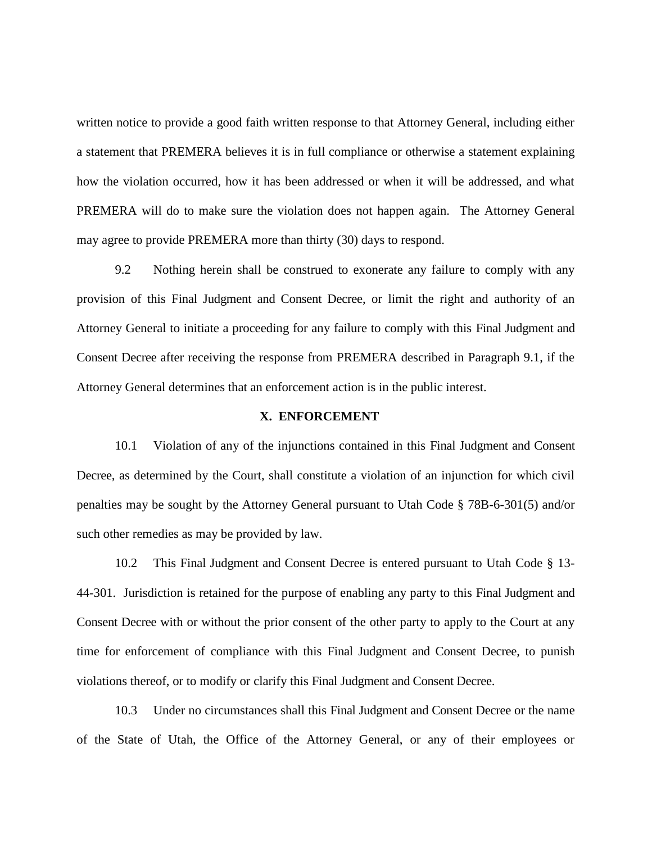written notice to provide a good faith written response to that Attorney General, including either a statement that PREMERA believes it is in full compliance or otherwise a statement explaining how the violation occurred, how it has been addressed or when it will be addressed, and what PREMERA will do to make sure the violation does not happen again. The Attorney General may agree to provide PREMERA more than thirty (30) days to respond.

9.2 Nothing herein shall be construed to exonerate any failure to comply with any provision of this Final Judgment and Consent Decree, or limit the right and authority of an Attorney General to initiate a proceeding for any failure to comply with this Final Judgment and Consent Decree after receiving the response from PREMERA described in Paragraph 9.1, if the Attorney General determines that an enforcement action is in the public interest.

#### **X. ENFORCEMENT**

10.1 Violation of any of the injunctions contained in this Final Judgment and Consent Decree, as determined by the Court, shall constitute a violation of an injunction for which civil penalties may be sought by the Attorney General pursuant to Utah Code § 78B-6-301(5) and/or such other remedies as may be provided by law.

10.2 This Final Judgment and Consent Decree is entered pursuant to Utah Code § 13- 44-301. Jurisdiction is retained for the purpose of enabling any party to this Final Judgment and Consent Decree with or without the prior consent of the other party to apply to the Court at any time for enforcement of compliance with this Final Judgment and Consent Decree, to punish violations thereof, or to modify or clarify this Final Judgment and Consent Decree.

10.3 Under no circumstances shall this Final Judgment and Consent Decree or the name of the State of Utah, the Office of the Attorney General, or any of their employees or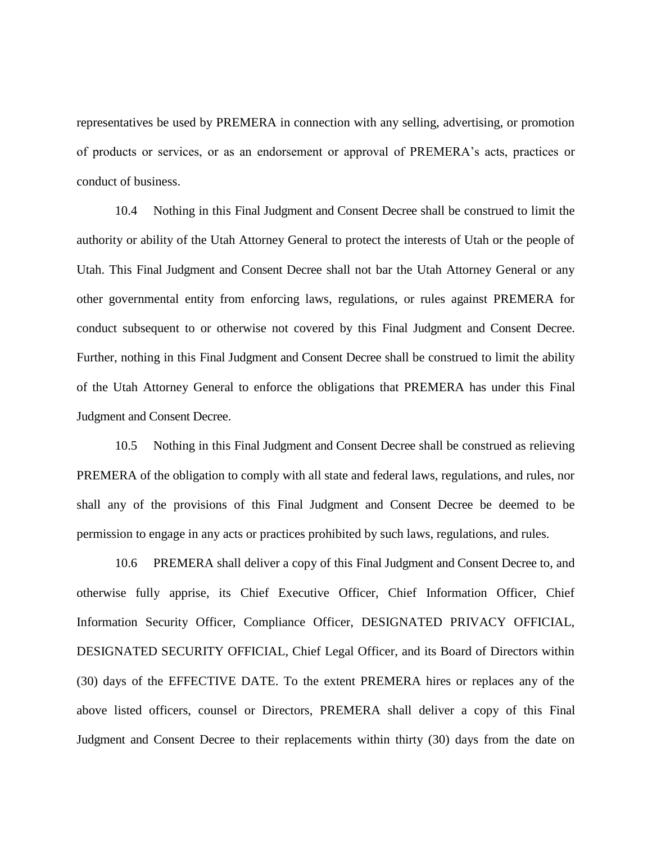representatives be used by PREMERA in connection with any selling, advertising, or promotion of products or services, or as an endorsement or approval of PREMERA's acts, practices or conduct of business.

10.4 Nothing in this Final Judgment and Consent Decree shall be construed to limit the authority or ability of the Utah Attorney General to protect the interests of Utah or the people of Utah. This Final Judgment and Consent Decree shall not bar the Utah Attorney General or any other governmental entity from enforcing laws, regulations, or rules against PREMERA for conduct subsequent to or otherwise not covered by this Final Judgment and Consent Decree. Further, nothing in this Final Judgment and Consent Decree shall be construed to limit the ability of the Utah Attorney General to enforce the obligations that PREMERA has under this Final Judgment and Consent Decree.

10.5 Nothing in this Final Judgment and Consent Decree shall be construed as relieving PREMERA of the obligation to comply with all state and federal laws, regulations, and rules, nor shall any of the provisions of this Final Judgment and Consent Decree be deemed to be permission to engage in any acts or practices prohibited by such laws, regulations, and rules.

10.6 PREMERA shall deliver a copy of this Final Judgment and Consent Decree to, and otherwise fully apprise, its Chief Executive Officer, Chief Information Officer, Chief Information Security Officer, Compliance Officer, DESIGNATED PRIVACY OFFICIAL, DESIGNATED SECURITY OFFICIAL, Chief Legal Officer, and its Board of Directors within (30) days of the EFFECTIVE DATE. To the extent PREMERA hires or replaces any of the above listed officers, counsel or Directors, PREMERA shall deliver a copy of this Final Judgment and Consent Decree to their replacements within thirty (30) days from the date on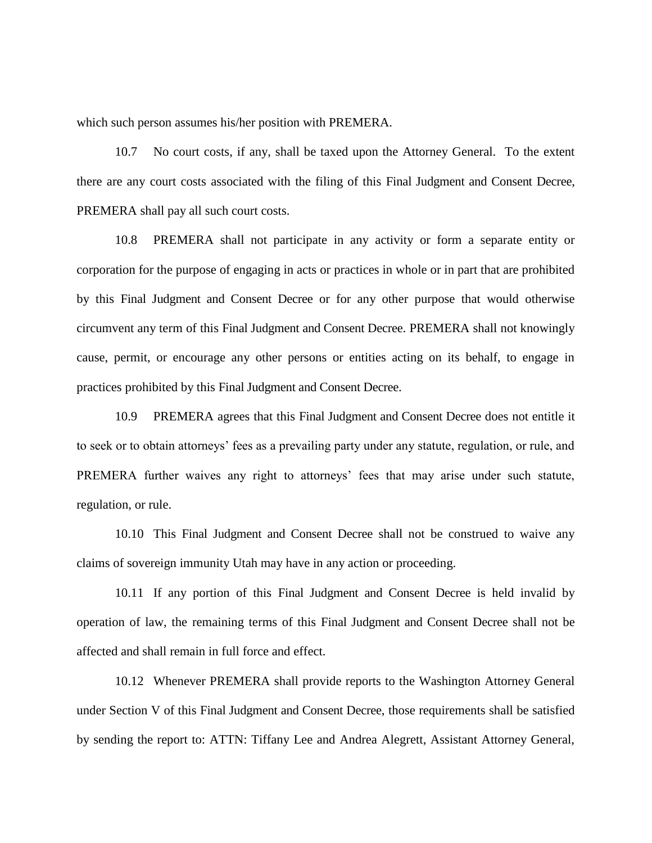which such person assumes his/her position with PREMERA.

10.7 No court costs, if any, shall be taxed upon the Attorney General. To the extent there are any court costs associated with the filing of this Final Judgment and Consent Decree, PREMERA shall pay all such court costs.

10.8 PREMERA shall not participate in any activity or form a separate entity or corporation for the purpose of engaging in acts or practices in whole or in part that are prohibited by this Final Judgment and Consent Decree or for any other purpose that would otherwise circumvent any term of this Final Judgment and Consent Decree. PREMERA shall not knowingly cause, permit, or encourage any other persons or entities acting on its behalf, to engage in practices prohibited by this Final Judgment and Consent Decree.

10.9 PREMERA agrees that this Final Judgment and Consent Decree does not entitle it to seek or to obtain attorneys' fees as a prevailing party under any statute, regulation, or rule, and PREMERA further waives any right to attorneys' fees that may arise under such statute, regulation, or rule.

10.10 This Final Judgment and Consent Decree shall not be construed to waive any claims of sovereign immunity Utah may have in any action or proceeding.

10.11 If any portion of this Final Judgment and Consent Decree is held invalid by operation of law, the remaining terms of this Final Judgment and Consent Decree shall not be affected and shall remain in full force and effect.

10.12 Whenever PREMERA shall provide reports to the Washington Attorney General under Section V of this Final Judgment and Consent Decree, those requirements shall be satisfied by sending the report to: ATTN: Tiffany Lee and Andrea Alegrett, Assistant Attorney General,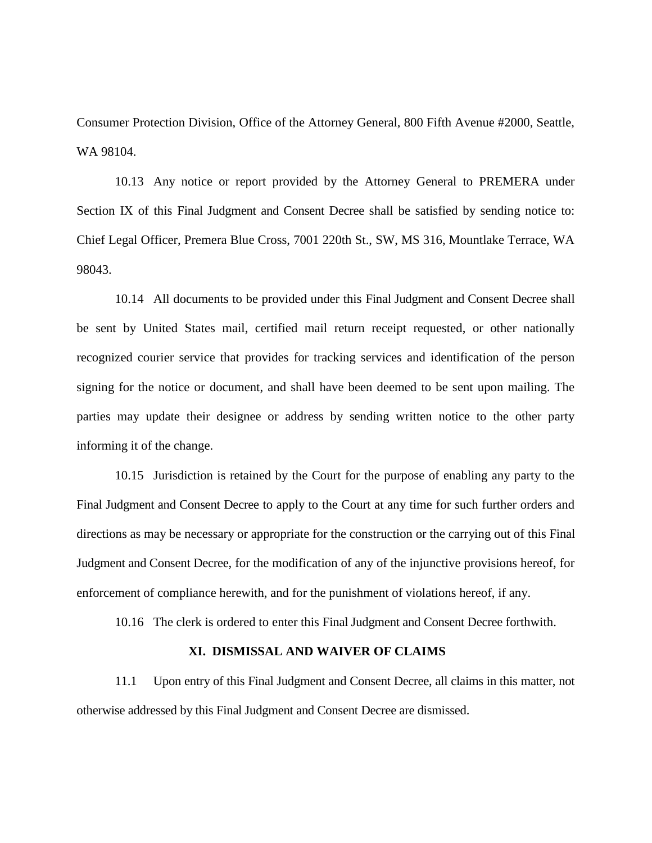Consumer Protection Division, Office of the Attorney General, 800 Fifth Avenue #2000, Seattle, WA 98104.

10.13 Any notice or report provided by the Attorney General to PREMERA under Section IX of this Final Judgment and Consent Decree shall be satisfied by sending notice to: Chief Legal Officer, Premera Blue Cross, 7001 220th St., SW, MS 316, Mountlake Terrace, WA 98043.

10.14 All documents to be provided under this Final Judgment and Consent Decree shall be sent by United States mail, certified mail return receipt requested, or other nationally recognized courier service that provides for tracking services and identification of the person signing for the notice or document, and shall have been deemed to be sent upon mailing. The parties may update their designee or address by sending written notice to the other party informing it of the change.

10.15 Jurisdiction is retained by the Court for the purpose of enabling any party to the Final Judgment and Consent Decree to apply to the Court at any time for such further orders and directions as may be necessary or appropriate for the construction or the carrying out of this Final Judgment and Consent Decree, for the modification of any of the injunctive provisions hereof, for enforcement of compliance herewith, and for the punishment of violations hereof, if any.

10.16 The clerk is ordered to enter this Final Judgment and Consent Decree forthwith.

# **XI. DISMISSAL AND WAIVER OF CLAIMS**

11.1 Upon entry of this Final Judgment and Consent Decree, all claims in this matter, not otherwise addressed by this Final Judgment and Consent Decree are dismissed.